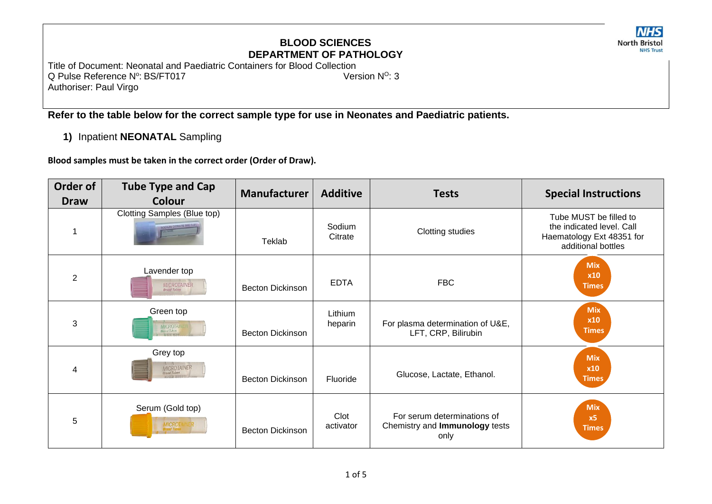# **NHS North Bristol**

## **BLOOD SCIENCES DEPARTMENT OF PATHOLOGY**

Title of Document: Neonatal and Paediatric Containers for Blood Collection Q Pulse Reference N°: BS/FT017 Version N<sup>o</sup>: 3 Authoriser: Paul Virgo

**Refer to the table below for the correct sample type for use in Neonates and Paediatric patients.**

**1)** Inpatient **NEONATAL** Sampling

**Blood samples must be taken in the correct order (Order of Draw).**

| Order of<br><b>Draw</b> | <b>Tube Type and Cap</b><br><b>Colour</b>                | <b>Manufacturer</b>     | <b>Additive</b>    | <b>Tests</b>                                                          | <b>Special Instructions</b>                                                                            |
|-------------------------|----------------------------------------------------------|-------------------------|--------------------|-----------------------------------------------------------------------|--------------------------------------------------------------------------------------------------------|
|                         | Clotting Samples (Blue top)<br>SODIUM CITRATE SNC 3 2    | Teklab                  | Sodium<br>Citrate  | <b>Clotting studies</b>                                               | Tube MUST be filled to<br>the indicated level. Call<br>Haematology Ext 48351 for<br>additional bottles |
| $\overline{2}$          | Lavender top<br><b>MICROTAINER</b><br><b>Brand Tubes</b> | <b>Becton Dickinson</b> | <b>EDTA</b>        | <b>FBC</b>                                                            | <b>Mix</b><br>x10<br><b>Times</b>                                                                      |
| 3                       | Green top<br><b>MICROTAINE</b><br><b>Brand Tabes</b>     | <b>Becton Dickinson</b> | Lithium<br>heparin | For plasma determination of U&E,<br>LFT, CRP, Bilirubin               | <b>Mix</b><br><b>x10</b><br><b>Times</b>                                                               |
| 4                       | Grey top<br>MICROTAINER<br><b>Brand Tubes</b>            | <b>Becton Dickinson</b> | Fluoride           | Glucose, Lactate, Ethanol.                                            | <b>Mix</b><br>x10<br><b>Times</b>                                                                      |
| 5                       | Serum (Gold top)<br><b>MICROTA</b>                       | <b>Becton Dickinson</b> | Clot<br>activator  | For serum determinations of<br>Chemistry and Immunology tests<br>only | <b>Mix</b><br>x <sub>5</sub><br><b>Times</b>                                                           |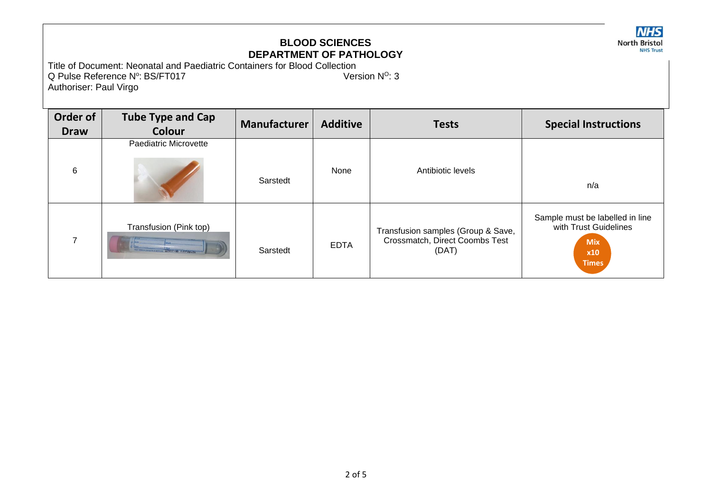

Title of Document: Neonatal and Paediatric Containers for Blood Collection Q Pulse Reference N°: BS/FT017 Version N<sup>o</sup>: 3 Authoriser: Paul Virgo

| Order of<br><b>Draw</b>  | <b>Tube Type and Cap</b><br>Colour                                       | <b>Manufacturer</b> | <b>Additive</b> | <b>Tests</b>                                                                  | <b>Special Instructions</b>                                                                   |
|--------------------------|--------------------------------------------------------------------------|---------------------|-----------------|-------------------------------------------------------------------------------|-----------------------------------------------------------------------------------------------|
| 6                        | Paediatric Microvette                                                    | Sarstedt            | None            | Antibiotic levels                                                             | n/a                                                                                           |
| $\overline{\phantom{a}}$ | Transfusion (Pink top)<br>THE ARREST DISCOVERED WANTED 12017-10 LOT50431 | Sarstedt            | <b>EDTA</b>     | Transfusion samples (Group & Save,<br>Crossmatch, Direct Coombs Test<br>(DAT) | Sample must be labelled in line<br>with Trust Guidelines<br><b>Mix</b><br>x10<br><b>Times</b> |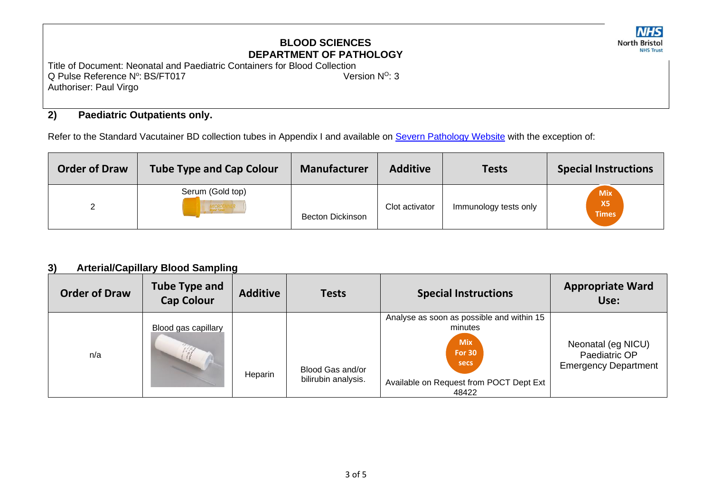**NHS North Bristol NHS Trust** 

Title of Document: Neonatal and Paediatric Containers for Blood Collection Q Pulse Reference N°: BS/FT017 Version N<sup>o</sup>: 3 Authoriser: Paul Virgo

### **2) Paediatric Outpatients only.**

Refer to the Standard Vacutainer BD collection tubes in Appendix I and available on [Severn Pathology Website](https://www.nbt.nhs.uk/sites/default/files/attachments/Tube%20Guide%20and%20Recommended%20Order%20of%20Draw%20-%20General%20Wards.pdf) with the exception of:

| <b>Order of Draw</b> | <b>Tube Type and Cap Colour</b> | <b>Manufacturer</b>     | <b>Additive</b> | <b>Tests</b>          | <b>Special Instructions</b>             |
|----------------------|---------------------------------|-------------------------|-----------------|-----------------------|-----------------------------------------|
|                      | Serum (Gold top)<br>MICROTA     | <b>Becton Dickinson</b> | Clot activator  | Immunology tests only | <b>Mix</b><br><b>X5</b><br><b>Times</b> |

### **3) Arterial/Capillary Blood Sampling**

| <b>Order of Draw</b> | <b>Tube Type and</b><br><b>Cap Colour</b> | <b>Additive</b> | <b>Tests</b>                            | <b>Special Instructions</b>                                                                                                                       | <b>Appropriate Ward</b><br>Use:                                    |
|----------------------|-------------------------------------------|-----------------|-----------------------------------------|---------------------------------------------------------------------------------------------------------------------------------------------------|--------------------------------------------------------------------|
| n/a                  | Blood gas capillary                       | Heparin         | Blood Gas and/or<br>bilirubin analysis. | Analyse as soon as possible and within 15<br>minutes<br><b>Mix</b><br>For 30<br><b>secs</b><br>Available on Request from POCT Dept Ext  <br>48422 | Neonatal (eg NICU)<br>Paediatric OP<br><b>Emergency Department</b> |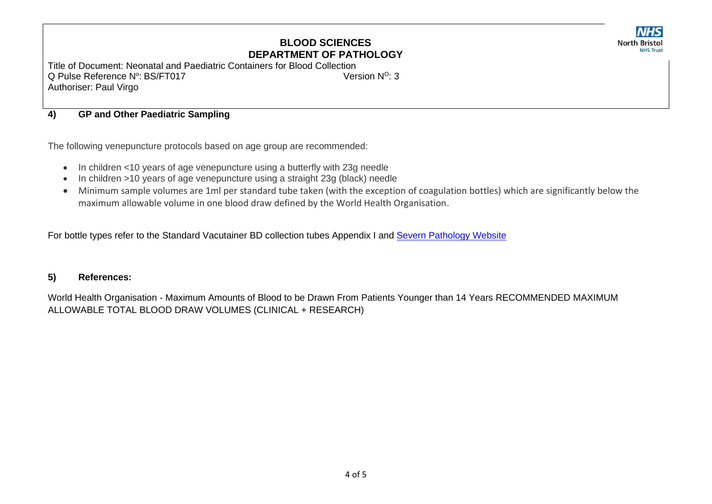**NHS North Bristol NHS Trust** 

Title of Document: Neonatal and Paediatric Containers for Blood Collection Q Pulse Reference N°: BS/FT017 Version N<sup>o</sup>: 3 Authoriser: Paul Virgo

#### **4) GP and Other Paediatric Sampling**

The following venepuncture protocols based on age group are recommended:

- In children <10 years of age venepuncture using a butterfly with 23g needle
- In children >10 years of age venepuncture using a straight 23g (black) needle
- Minimum sample volumes are 1ml per standard tube taken (with the exception of coagulation bottles) which are significantly below the maximum allowable volume in one blood draw defined by the World Health Organisation.

For bottle types refer to the Standard Vacutainer BD collection tubes Appendix I and [Severn Pathology Website](https://www.nbt.nhs.uk/sites/default/files/attachments/Tube%20Guide%20and%20Recommended%20Order%20of%20Draw%20-%20General%20Wards.pdf)

#### **5) References:**

World Health Organisation - Maximum Amounts of Blood to be Drawn From Patients Younger than 14 Years RECOMMENDED MAXIMUM ALLOWABLE TOTAL BLOOD DRAW VOLUMES (CLINICAL + RESEARCH)